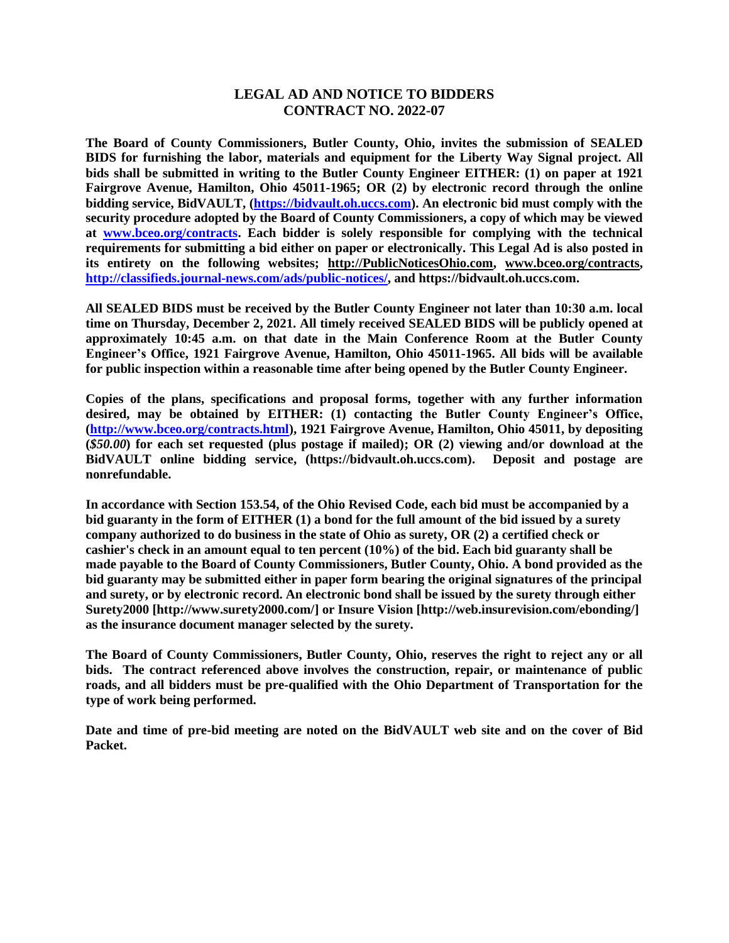## **LEGAL AD AND NOTICE TO BIDDERS CONTRACT NO. 2022-07**

**The Board of County Commissioners, Butler County, Ohio, invites the submission of SEALED BIDS for furnishing the labor, materials and equipment for the Liberty Way Signal project. All bids shall be submitted in writing to the Butler County Engineer EITHER: (1) on paper at 1921 Fairgrove Avenue, Hamilton, Ohio 45011-1965; OR (2) by electronic record through the online bidding service, BidVAULT, [\(https://bidvault.oh.uccs.com\)](https://bidvault.oh.uccs.com/). An electronic bid must comply with the security procedure adopted by the Board of County Commissioners, a copy of which may be viewed at [www.bceo.org/contracts.](http://www.bceo.org/contracts) Each bidder is solely responsible for complying with the technical requirements for submitting a bid either on paper or electronically. This Legal Ad is also posted in its entirety on the following websites; [http://PublicNoticesOhio.com,](http://publicnoticesohio.com/) [www.bceo.org/contracts,](http://www.bceo.org/contracts) [http://classifieds.journal-news.com/ads/public-notices/,](http://classifieds.journal-news.com/ads/public-notices/) and https://bidvault.oh.uccs.com.**

**All SEALED BIDS must be received by the Butler County Engineer not later than 10:30 a.m. local time on Thursday, December 2, 2021. All timely received SEALED BIDS will be publicly opened at approximately 10:45 a.m. on that date in the Main Conference Room at the Butler County Engineer's Office, 1921 Fairgrove Avenue, Hamilton, Ohio 45011-1965. All bids will be available for public inspection within a reasonable time after being opened by the Butler County Engineer.**

**Copies of the plans, specifications and proposal forms, together with any further information desired, may be obtained by EITHER: (1) contacting the Butler County Engineer's Office, [\(http://www.bceo.org/contracts.html\)](http://www.bceo.org/contracts.html), 1921 Fairgrove Avenue, Hamilton, Ohio 45011, by depositing (***\$50.00***) for each set requested (plus postage if mailed); OR (2) viewing and/or download at the BidVAULT online bidding service, (https://bidvault.oh.uccs.com). Deposit and postage are nonrefundable.** 

**In accordance with Section 153.54, of the Ohio Revised Code, each bid must be accompanied by a bid guaranty in the form of EITHER (1) a bond for the full amount of the bid issued by a surety company authorized to do business in the state of Ohio as surety, OR (2) a certified check or cashier's check in an amount equal to ten percent (10%) of the bid. Each bid guaranty shall be made payable to the Board of County Commissioners, Butler County, Ohio. A bond provided as the bid guaranty may be submitted either in paper form bearing the original signatures of the principal and surety, or by electronic record. An electronic bond shall be issued by the surety through either Surety2000 [http://www.surety2000.com/] or Insure Vision [http://web.insurevision.com/ebonding/] as the insurance document manager selected by the surety.**

**The Board of County Commissioners, Butler County, Ohio, reserves the right to reject any or all bids. The contract referenced above involves the construction, repair, or maintenance of public roads, and all bidders must be pre-qualified with the Ohio Department of Transportation for the type of work being performed.** 

**Date and time of pre-bid meeting are noted on the BidVAULT web site and on the cover of Bid Packet.**